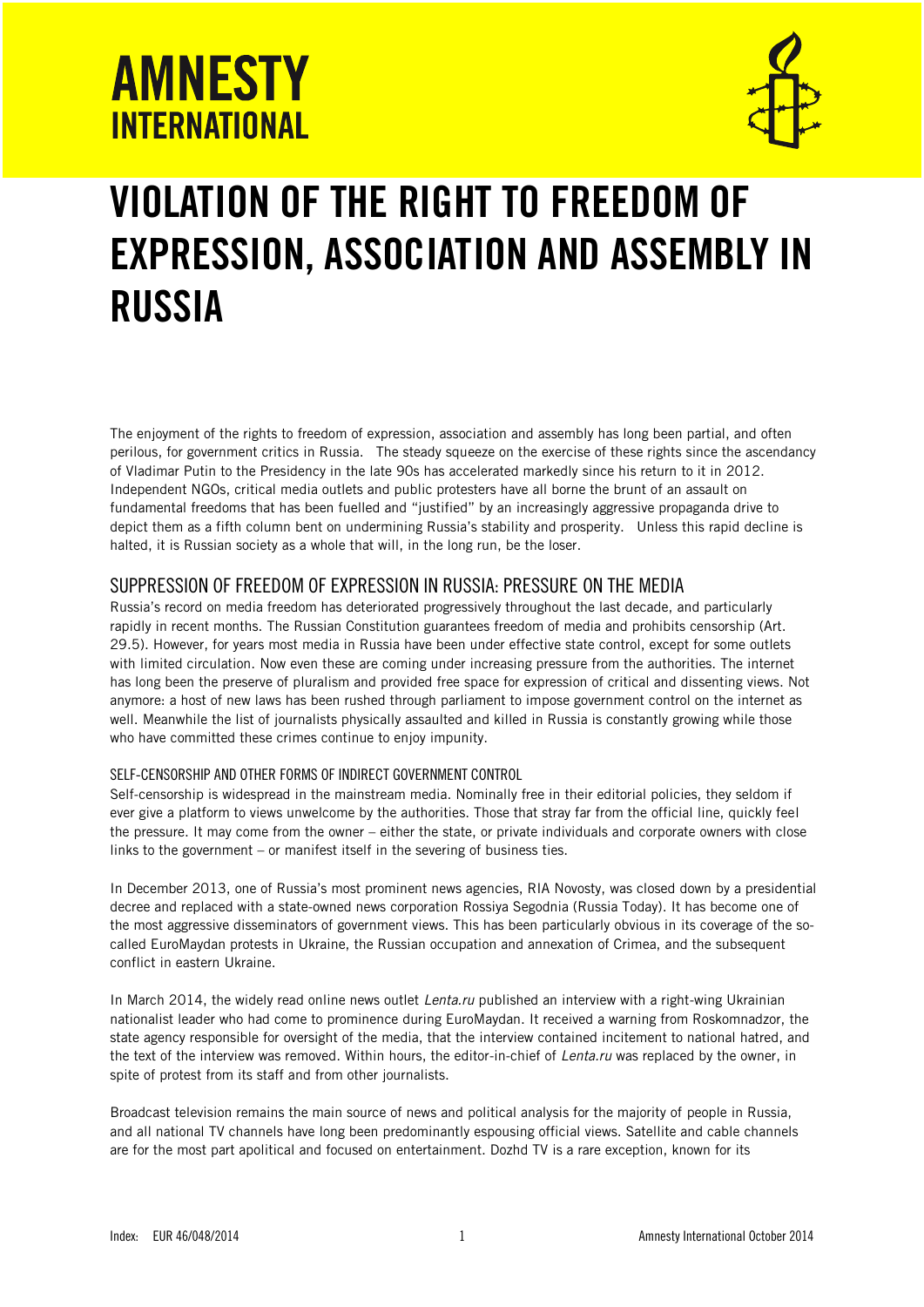

# **VIOLATION OF THE RIGHT TO FREEDOM OF EXPRESSION, ASSOCIATION AND ASSEMBLY IN RUSSIA**

The enjoyment of the rights to freedom of expression, association and assembly has long been partial, and often perilous, for government critics in Russia. The steady squeeze on the exercise of these rights since the ascendancy of Vladimar Putin to the Presidency in the late 90s has accelerated markedly since his return to it in 2012. Independent NGOs, critical media outlets and public protesters have all borne the brunt of an assault on fundamental freedoms that has been fuelled and "justified" by an increasingly aggressive propaganda drive to depict them as a fifth column bent on undermining Russia's stability and prosperity. Unless this rapid decline is halted, it is Russian society as a whole that will, in the long run, be the loser.

## SUPPRESSION OF FREEDOM OF EXPRESSION IN RUSSIA: PRESSURE ON THE MEDIA

Russia's record on media freedom has deteriorated progressively throughout the last decade, and particularly rapidly in recent months. The Russian Constitution guarantees freedom of media and prohibits censorship (Art. 29.5). However, for years most media in Russia have been under effective state control, except for some outlets with limited circulation. Now even these are coming under increasing pressure from the authorities. The internet has long been the preserve of pluralism and provided free space for expression of critical and dissenting views. Not anymore: a host of new laws has been rushed through parliament to impose government control on the internet as well. Meanwhile the list of journalists physically assaulted and killed in Russia is constantly growing while those who have committed these crimes continue to enjoy impunity.

### SELF-CENSORSHIP AND OTHER FORMS OF INDIRECT GOVERNMENT CONTROL

Self-censorship is widespread in the mainstream media. Nominally free in their editorial policies, they seldom if ever give a platform to views unwelcome by the authorities. Those that stray far from the official line, quickly feel the pressure. It may come from the owner – either the state, or private individuals and corporate owners with close links to the government – or manifest itself in the severing of business ties.

In December 2013, one of Russia's most prominent news agencies, RIA Novosty, was closed down by a presidential decree and replaced with a state-owned news corporation Rossiya Segodnia (Russia Today). It has become one of the most aggressive disseminators of government views. This has been particularly obvious in its coverage of the socalled EuroMaydan protests in Ukraine, the Russian occupation and annexation of Crimea, and the subsequent conflict in eastern Ukraine.

In March 2014, the widely read online news outlet *Lenta.ru* published an interview with a right-wing Ukrainian nationalist leader who had come to prominence during EuroMaydan. It received a warning from Roskomnadzor, the state agency responsible for oversight of the media, that the interview contained incitement to national hatred, and the text of the interview was removed. Within hours, the editor-in-chief of *Lenta.ru* was replaced by the owner, in spite of protest from its staff and from other journalists.

Broadcast television remains the main source of news and political analysis for the majority of people in Russia, and all national TV channels have long been predominantly espousing official views. Satellite and cable channels are for the most part apolitical and focused on entertainment. Dozhd TV is a rare exception, known for its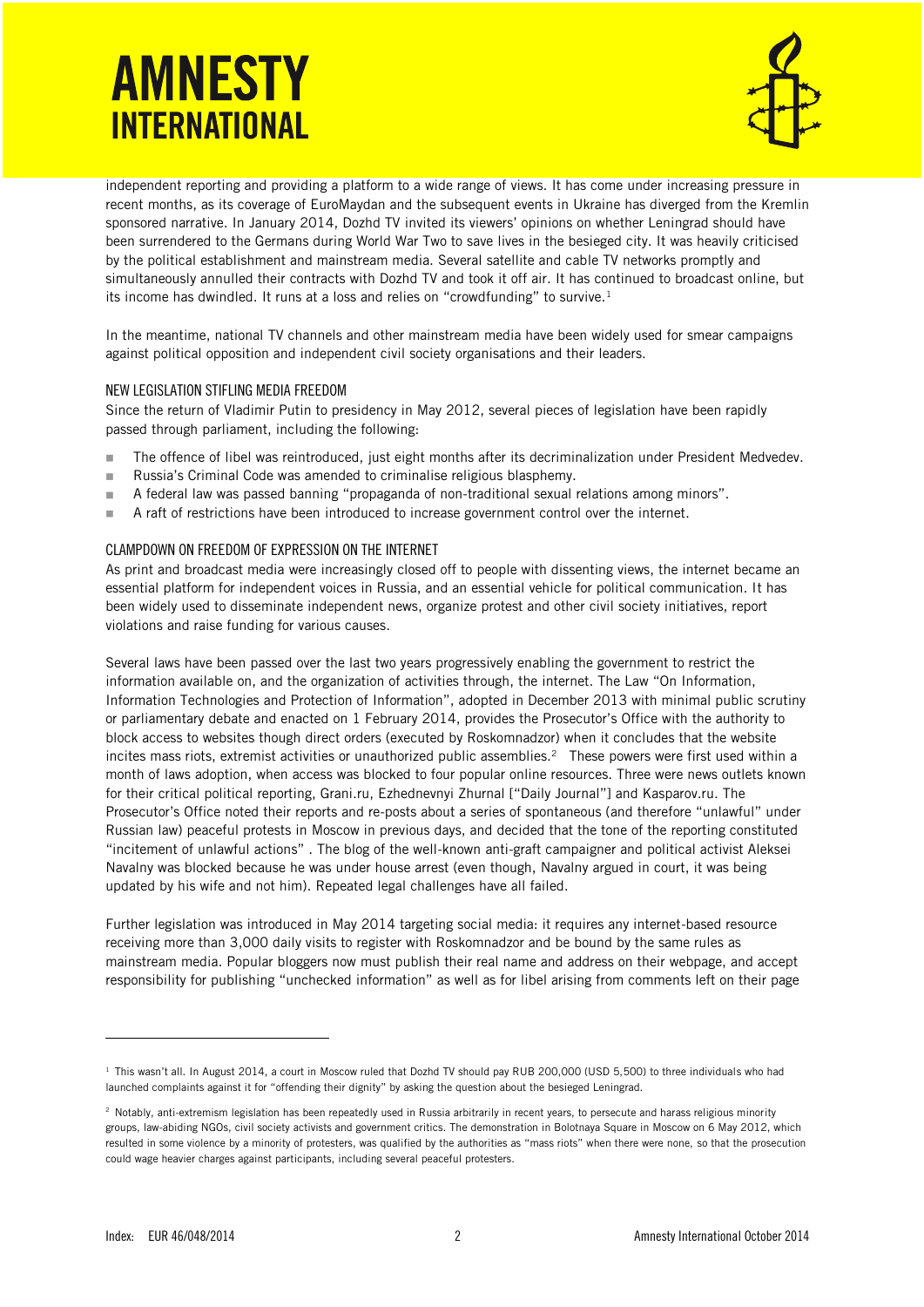

independent reporting and providing a platform to a wide range of views. It has come under increasing pressure in recent months, as its coverage of EuroMaydan and the subsequent events in Ukraine has diverged from the Kremlin sponsored narrative. In January 2014, Dozhd TV invited its viewers' opinions on whether Leningrad should have been surrendered to the Germans during World War Two to save lives in the besieged city. It was heavily criticised by the political establishment and mainstream media. Several satellite and cable TV networks promptly and simultaneously annulled their contracts with Dozhd TV and took it off air. It has continued to broadcast online, but its income has dwindled. It runs at a loss and relies on "crowdfunding" to survive.<sup>1</sup>

In the meantime, national TV channels and other mainstream media have been widely used for smear campaigns against political opposition and independent civil society organisations and their leaders.

#### NEW LEGISLATION STIFLING MEDIA FREEDOM

Since the return of Vladimir Putin to presidency in May 2012, several pieces of legislation have been rapidly passed through parliament, including the following:

- The offence of libel was reintroduced, just eight months after its decriminalization under President Medvedev.
- Russia's Criminal Code was amended to criminalise religious blasphemy.
- A federal law was passed banning "propaganda of non-traditional sexual relations among minors".
- A raft of restrictions have been introduced to increase government control over the internet.

#### CLAMPDOWN ON FREEDOM OF EXPRESSION ON THE INTERNET

As print and broadcast media were increasingly closed off to people with dissenting views, the internet became an essential platform for independent voices in Russia, and an essential vehicle for political communication. It has been widely used to disseminate independent news, organize protest and other civil society initiatives, report violations and raise funding for various causes.

Several laws have been passed over the last two years progressively enabling the government to restrict the information available on, and the organization of activities through, the internet. The Law "On Information, Information Technologies and Protection of Information", adopted in December 2013 with minimal public scrutiny or parliamentary debate and enacted on 1 February 2014, provides the Prosecutor's Office with the authority to block access to websites though direct orders (executed by Roskomnadzor) when it concludes that the website incites mass riots, extremist activities or unauthorized public assemblies.<sup>2</sup> These powers were first used within a month of laws adoption, when access was blocked to four popular online resources. Three were news outlets known for their critical political reporting, Grani.ru, Ezhednevnyi Zhurnal ["Daily Journal"] and Kasparov.ru. The Prosecutor's Office noted their reports and re-posts about a series of spontaneous (and therefore "unlawful" under Russian law) peaceful protests in Moscow in previous days, and decided that the tone of the reporting constituted "incitement of unlawful actions" . The blog of the well-known anti-graft campaigner and political activist Aleksei Navalny was blocked because he was under house arrest (even though, Navalny argued in court, it was being updated by his wife and not him). Repeated legal challenges have all failed.

Further legislation was introduced in May 2014 targeting social media: it requires any internet-based resource receiving more than 3,000 daily visits to register with Roskomnadzor and be bound by the same rules as mainstream media. Popular bloggers now must publish their real name and address on their webpage, and accept responsibility for publishing "unchecked information" as well as for libel arising from comments left on their page

<sup>&</sup>lt;sup>1</sup> This wasn't all. In August 2014, a court in Moscow ruled that Dozhd TV should pay RUB 200,000 (USD 5,500) to three individuals who had launched complaints against it for "offending their dignity" by asking the question about the besieged Leningrad.

<sup>&</sup>lt;sup>2</sup> Notably, anti-extremism legislation has been repeatedly used in Russia arbitrarily in recent years, to persecute and harass religious minority groups, law-abiding NGOs, civil society activists and government critics. The demonstration in Bolotnaya Square in Moscow on 6 May 2012, which resulted in some violence by a minority of protesters, was qualified by the authorities as "mass riots" when there were none, so that the prosecution could wage heavier charges against participants, including several peaceful protesters.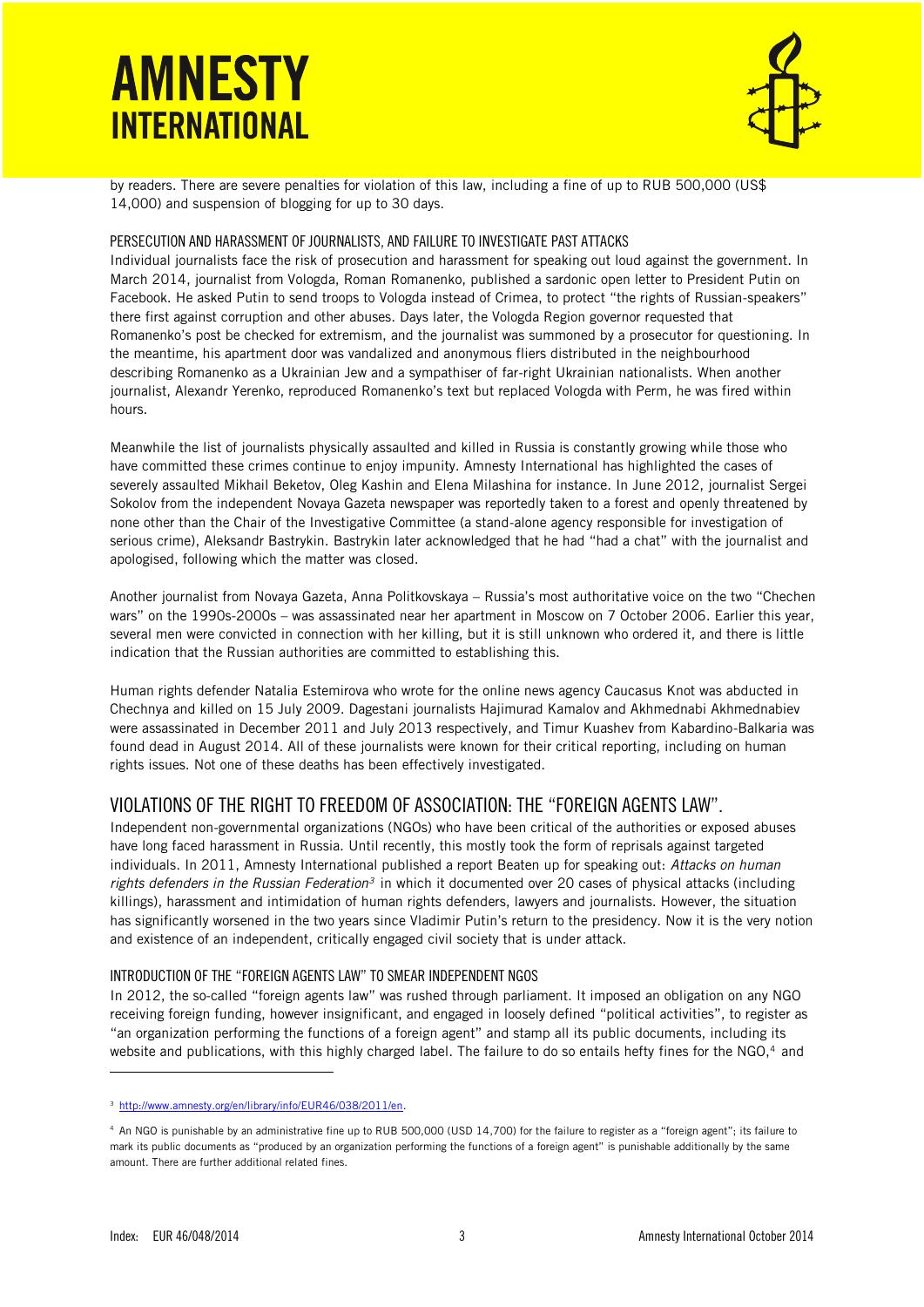

by readers. There are severe penalties for violation of this law, including a fine of up to RUB 500,000 (US\$ 14,000) and suspension of blogging for up to 30 days.

### PERSECUTION AND HARASSMENT OF JOURNALISTS, AND FAILURE TO INVESTIGATE PAST ATTACKS

Individual journalists face the risk of prosecution and harassment for speaking out loud against the government. In March 2014, journalist from Vologda, Roman Romanenko, published a sardonic open letter to President Putin on Facebook. He asked Putin to send troops to Vologda instead of Crimea, to protect "the rights of Russian-speakers" there first against corruption and other abuses. Days later, the Vologda Region governor requested that Romanenko's post be checked for extremism, and the journalist was summoned by a prosecutor for questioning. In the meantime, his apartment door was vandalized and anonymous fliers distributed in the neighbourhood describing Romanenko as a Ukrainian Jew and a sympathiser of far-right Ukrainian nationalists. When another journalist, Alexandr Yerenko, reproduced Romanenko's text but replaced Vologda with Perm, he was fired within hours.

Meanwhile the list of journalists physically assaulted and killed in Russia is constantly growing while those who have committed these crimes continue to enjoy impunity. Amnesty International has highlighted the cases of severely assaulted Mikhail Beketov, Oleg Kashin and Elena Milashina for instance. In June 2012, journalist Sergei Sokolov from the independent Novaya Gazeta newspaper was reportedly taken to a forest and openly threatened by none other than the Chair of the Investigative Committee (a stand-alone agency responsible for investigation of serious crime), Aleksandr Bastrykin. Bastrykin later acknowledged that he had "had a chat" with the journalist and apologised, following which the matter was closed.

Another journalist from Novaya Gazeta, Anna Politkovskaya – Russia's most authoritative voice on the two "Chechen wars" on the 1990s-2000s – was assassinated near her apartment in Moscow on 7 October 2006. Earlier this year, several men were convicted in connection with her killing, but it is still unknown who ordered it, and there is little indication that the Russian authorities are committed to establishing this.

Human rights defender Natalia Estemirova who wrote for the online news agency Caucasus Knot was abducted in Chechnya and killed on 15 July 2009. Dagestani journalists Hajimurad Kamalov and Akhmednabi Akhmednabiev were assassinated in December 2011 and July 2013 respectively, and Timur Kuashev from Kabardino-Balkaria was found dead in August 2014. All of these journalists were known for their critical reporting, including on human rights issues. Not one of these deaths has been effectively investigated.

### VIOLATIONS OF THE RIGHT TO FREEDOM OF ASSOCIATION: THE "FOREIGN AGENTS LAW".

Independent non-governmental organizations (NGOs) who have been critical of the authorities or exposed abuses have long faced harassment in Russia. Until recently, this mostly took the form of reprisals against targeted individuals. In 2011, Amnesty International published a report Beaten up for speaking out: *Attacks on human rights defenders in the Russian Federation<sup>3</sup>* in which it documented over 20 cases of physical attacks (including killings), harassment and intimidation of human rights defenders, lawyers and journalists. However, the situation has significantly worsened in the two years since Vladimir Putin's return to the presidency. Now it is the very notion and existence of an independent, critically engaged civil society that is under attack.

#### INTRODUCTION OF THE "FOREIGN AGENTS LAW" TO SMEAR INDEPENDENT NGOS

In 2012, the so-called "foreign agents law" was rushed through parliament. It imposed an obligation on any NGO receiving foreign funding, however insignificant, and engaged in loosely defined "political activities", to register as "an organization performing the functions of a foreign agent" and stamp all its public documents, including its website and publications, with this highly charged label. The failure to do so entails hefty fines for the NGO,<sup>4</sup> and

<sup>3</sup> [http://www.amnesty.org/en/library/info/EUR46/038/2011/en.](http://www.amnesty.org/en/library/info/EUR46/038/2011/en)

<sup>4</sup> An NGO is punishable by an administrative fine up to RUB 500,000 (USD 14,700) for the failure to register as a "foreign agent"; its failure to mark its public documents as "produced by an organization performing the functions of a foreign agent" is punishable additionally by the same amount. There are further additional related fines.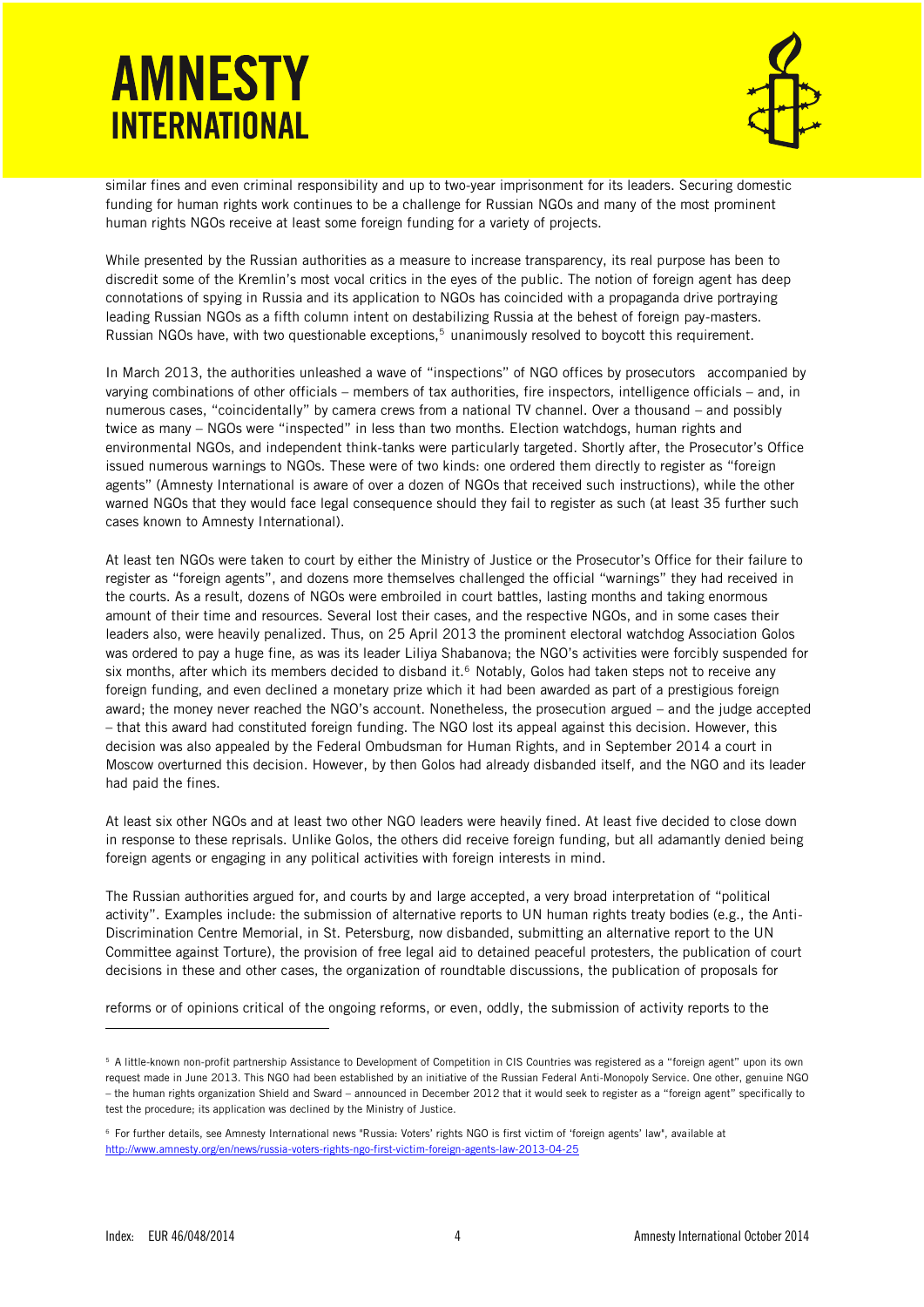

similar fines and even criminal responsibility and up to two-year imprisonment for its leaders. Securing domestic funding for human rights work continues to be a challenge for Russian NGOs and many of the most prominent human rights NGOs receive at least some foreign funding for a variety of projects.

While presented by the Russian authorities as a measure to increase transparency, its real purpose has been to discredit some of the Kremlin's most vocal critics in the eyes of the public. The notion of foreign agent has deep connotations of spying in Russia and its application to NGOs has coincided with a propaganda drive portraying leading Russian NGOs as a fifth column intent on destabilizing Russia at the behest of foreign pay-masters. Russian NGOs have, with two questionable exceptions,<sup>5</sup> unanimously resolved to boycott this requirement.

In March 2013, the authorities unleashed a wave of "inspections" of NGO offices by prosecutors accompanied by varying combinations of other officials – members of tax authorities, fire inspectors, intelligence officials – and, in numerous cases, "coincidentally" by camera crews from a national TV channel. Over a thousand – and possibly twice as many – NGOs were "inspected" in less than two months. Election watchdogs, human rights and environmental NGOs, and independent think-tanks were particularly targeted. Shortly after, the Prosecutor's Office issued numerous warnings to NGOs. These were of two kinds: one ordered them directly to register as "foreign agents" (Amnesty International is aware of over a dozen of NGOs that received such instructions), while the other warned NGOs that they would face legal consequence should they fail to register as such (at least 35 further such cases known to Amnesty International).

At least ten NGOs were taken to court by either the Ministry of Justice or the Prosecutor's Office for their failure to register as "foreign agents", and dozens more themselves challenged the official "warnings" they had received in the courts. As a result, dozens of NGOs were embroiled in court battles, lasting months and taking enormous amount of their time and resources. Several lost their cases, and the respective NGOs, and in some cases their leaders also, were heavily penalized. Thus, on 25 April 2013 the prominent electoral watchdog Association Golos was ordered to pay a huge fine, as was its leader Liliya Shabanova; the NGO's activities were forcibly suspended for six months, after which its members decided to disband it.<sup>6</sup> Notably, Golos had taken steps not to receive any foreign funding, and even declined a monetary prize which it had been awarded as part of a prestigious foreign award; the money never reached the NGO's account. Nonetheless, the prosecution argued – and the judge accepted – that this award had constituted foreign funding. The NGO lost its appeal against this decision. However, this decision was also appealed by the Federal Ombudsman for Human Rights, and in September 2014 a court in Moscow overturned this decision. However, by then Golos had already disbanded itself, and the NGO and its leader had paid the fines.

At least six other NGOs and at least two other NGO leaders were heavily fined. At least five decided to close down in response to these reprisals. Unlike Golos, the others did receive foreign funding, but all adamantly denied being foreign agents or engaging in any political activities with foreign interests in mind.

The Russian authorities argued for, and courts by and large accepted, a very broad interpretation of "political activity". Examples include: the submission of alternative reports to UN human rights treaty bodies (e.g., the Anti-Discrimination Centre Memorial, in St. Petersburg, now disbanded, submitting an alternative report to the UN Committee against Torture), the provision of free legal aid to detained peaceful protesters, the publication of court decisions in these and other cases, the organization of roundtable discussions, the publication of proposals for

reforms or of opinions critical of the ongoing reforms, or even, oddly, the submission of activity reports to the

j

<sup>5</sup> A little-known non-profit partnership Assistance to Development of Competition in CIS Countries was registered as a "foreign agent" upon its own request made in June 2013. This NGO had been established by an initiative of the Russian Federal Anti-Monopoly Service. One other, genuine NGO – the human rights organization Shield and Sward – announced in December 2012 that it would seek to register as a "foreign agent" specifically to test the procedure; its application was declined by the Ministry of Justice.

<sup>6</sup> For further details, see Amnesty International news "Russia: Voters' rights NGO is first victim of 'foreign agents' law", available at <http://www.amnesty.org/en/news/russia-voters-rights-ngo-first-victim-foreign-agents-law-2013-04-25>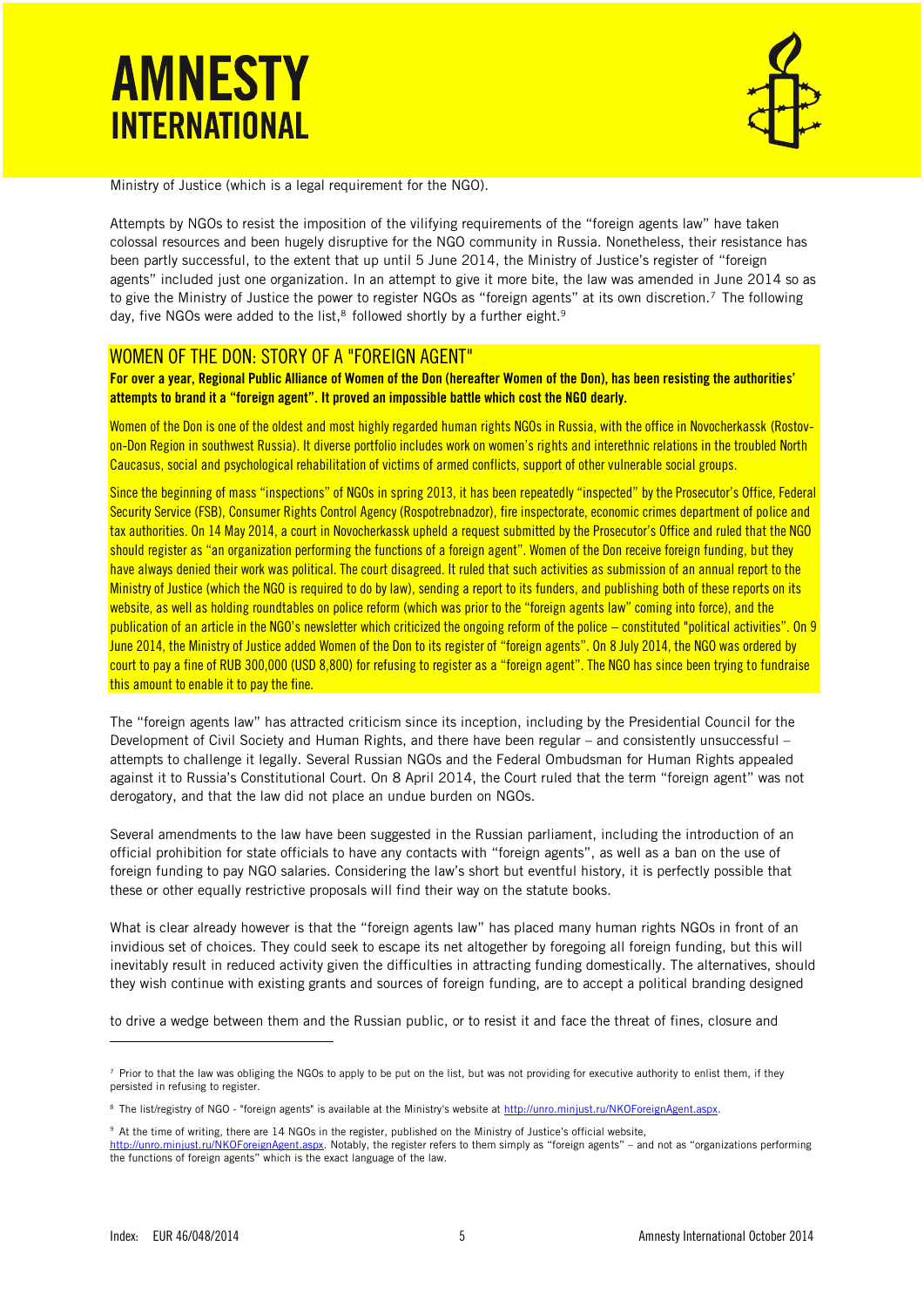

Ministry of Justice (which is a legal requirement for the NGO).

Attempts by NGOs to resist the imposition of the vilifying requirements of the "foreign agents law" have taken colossal resources and been hugely disruptive for the NGO community in Russia. Nonetheless, their resistance has been partly successful, to the extent that up until 5 June 2014, the Ministry of Justice's register of "foreign agents" included just one organization. In an attempt to give it more bite, the law was amended in June 2014 so as to give the Ministry of Justice the power to register NGOs as "foreign agents" at its own discretion.<sup>7</sup> The following day, five NGOs were added to the list, $^8$  followed shortly by a further eight. $^9$ 

### WOMEN OF THE DON: STORY OF A "FOREIGN AGENT"

**For over a year, Regional Public Alliance of Women of the Don (hereafter Women of the Don), has been resisting the authorities' attempts to brand it a "foreign agent". It proved an impossible battle which cost the NGO dearly.** 

Women of the Don is one of the oldest and most highly regarded human rights NGOs in Russia, with the office in Novocherkassk (Rostovon-Don Region in southwest Russia). It diverse portfolio includes work on women's rights and interethnic relations in the troubled North Caucasus, social and psychological rehabilitation of victims of armed conflicts, support of other vulnerable social groups.

Since the beginning of mass "inspections" of NGOs in spring 2013, it has been repeatedly "inspected" by the Prosecutor's Office, Federal Security Service (FSB), Consumer Rights Control Agency (Rospotrebnadzor), fire inspectorate, economic crimes department of police and tax authorities. On 14 May 2014, a court in Novocherkassk upheld a request submitted by the Prosecutor's Office and ruled that the NGO should register as "an organization performing the functions of a foreign agent". Women of the Don receive foreign funding, but they have always denied their work was political. The court disagreed. It ruled that such activities as submission of an annual report to the Ministry of Justice (which the NGO is required to do by law), sending a report to its funders, and publishing both of these reports on its website, as well as holding roundtables on police reform (which was prior to the "foreign agents law" coming into force), and the publication of an article in the NGO's newsletter which criticized the ongoing reform of the police – constituted "political activities". On 9 June 2014, the Ministry of Justice added Women of the Don to its register of "foreign agents". On 8 July 2014, the NGO was ordered by court to pay a fine of RUB 300,000 (USD 8,800) for refusing to register as a "foreign agent". The NGO has since been trying to fundraise this amount to enable it to pay the fine.

The "foreign agents law" has attracted criticism since its inception, including by the Presidential Council for the Development of Civil Society and Human Rights, and there have been regular – and consistently unsuccessful – attempts to challenge it legally. Several Russian NGOs and the Federal Ombudsman for Human Rights appealed against it to Russia's Constitutional Court. On 8 April 2014, the Court ruled that the term "foreign agent" was not derogatory, and that the law did not place an undue burden on NGOs.

Several amendments to the law have been suggested in the Russian parliament, including the introduction of an official prohibition for state officials to have any contacts with "foreign agents", as well as a ban on the use of foreign funding to pay NGO salaries. Considering the law's short but eventful history, it is perfectly possible that these or other equally restrictive proposals will find their way on the statute books.

What is clear already however is that the "foreign agents law" has placed many human rights NGOs in front of an invidious set of choices. They could seek to escape its net altogether by foregoing all foreign funding, but this will inevitably result in reduced activity given the difficulties in attracting funding domestically. The alternatives, should they wish continue with existing grants and sources of foreign funding, are to accept a political branding designed

to drive a wedge between them and the Russian public, or to resist it and face the threat of fines, closure and

<sup>7</sup> Prior to that the law was obliging the NGOs to apply to be put on the list, but was not providing for executive authority to enlist them, if they persisted in refusing to register.

<sup>8</sup> The list/registry of NGO - "foreign agents" is available at the Ministry's website at http://unro.minjust.ru/NKOForeignAgent.aspx.

<sup>9</sup> At the time of writing, there are 14 NGOs in the register, published on the Ministry of Justice's official website,

<http://unro.minjust.ru/NKOForeignAgent.aspx>. Notably, the register refers to them simply as "foreign agents" – and not as "organizations performing the functions of foreign agents" which is the exact language of the law.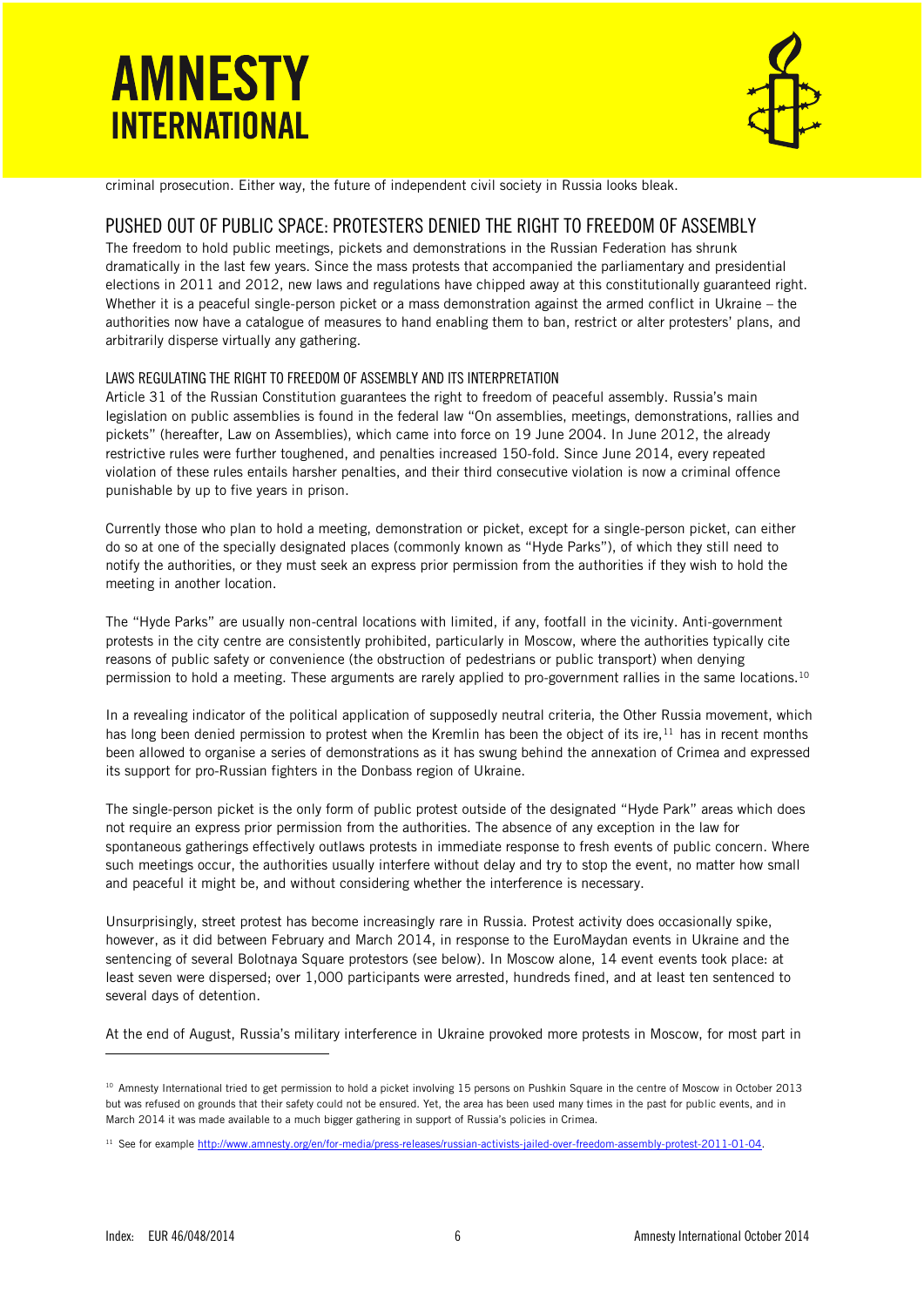

criminal prosecution. Either way, the future of independent civil society in Russia looks bleak.

## PUSHED OUT OF PUBLIC SPACE: PROTESTERS DENIED THE RIGHT TO FREEDOM OF ASSEMBLY

The freedom to hold public meetings, pickets and demonstrations in the Russian Federation has shrunk dramatically in the last few years. Since the mass protests that accompanied the parliamentary and presidential elections in 2011 and 2012, new laws and regulations have chipped away at this constitutionally guaranteed right. Whether it is a peaceful single-person picket or a mass demonstration against the armed conflict in Ukraine – the authorities now have a catalogue of measures to hand enabling them to ban, restrict or alter protesters' plans, and arbitrarily disperse virtually any gathering.

### LAWS REGULATING THE RIGHT TO FREEDOM OF ASSEMBLY AND ITS INTERPRETATION

Article 31 of the Russian Constitution guarantees the right to freedom of peaceful assembly. Russia's main legislation on public assemblies is found in the federal law "On assemblies, meetings, demonstrations, rallies and pickets" (hereafter, Law on Assemblies), which came into force on 19 June 2004. In June 2012, the already restrictive rules were further toughened, and penalties increased 150-fold. Since June 2014, every repeated violation of these rules entails harsher penalties, and their third consecutive violation is now a criminal offence punishable by up to five years in prison.

Currently those who plan to hold a meeting, demonstration or picket, except for a single-person picket, can either do so at one of the specially designated places (commonly known as "Hyde Parks"), of which they still need to notify the authorities, or they must seek an express prior permission from the authorities if they wish to hold the meeting in another location.

The "Hyde Parks" are usually non-central locations with limited, if any, footfall in the vicinity. Anti-government protests in the city centre are consistently prohibited, particularly in Moscow, where the authorities typically cite reasons of public safety or convenience (the obstruction of pedestrians or public transport) when denying permission to hold a meeting. These arguments are rarely applied to pro-government rallies in the same locations.<sup>10</sup>

In a revealing indicator of the political application of supposedly neutral criteria, the Other Russia movement, which has long been denied permission to protest when the Kremlin has been the object of its ire,<sup>11</sup> has in recent months been allowed to organise a series of demonstrations as it has swung behind the annexation of Crimea and expressed its support for pro-Russian fighters in the Donbass region of Ukraine.

The single-person picket is the only form of public protest outside of the designated "Hyde Park" areas which does not require an express prior permission from the authorities. The absence of any exception in the law for spontaneous gatherings effectively outlaws protests in immediate response to fresh events of public concern. Where such meetings occur, the authorities usually interfere without delay and try to stop the event, no matter how small and peaceful it might be, and without considering whether the interference is necessary.

Unsurprisingly, street protest has become increasingly rare in Russia. Protest activity does occasionally spike, however, as it did between February and March 2014, in response to the EuroMaydan events in Ukraine and the sentencing of several Bolotnaya Square protestors (see below). In Moscow alone, 14 event events took place: at least seven were dispersed; over 1,000 participants were arrested, hundreds fined, and at least ten sentenced to several days of detention.

At the end of August, Russia's military interference in Ukraine provoked more protests in Moscow, for most part in

<sup>&</sup>lt;sup>10</sup> Amnesty International tried to get permission to hold a picket involving 15 persons on Pushkin Square in the centre of Moscow in October 2013 but was refused on grounds that their safety could not be ensured. Yet, the area has been used many times in the past for public events, and in March 2014 it was made available to a much bigger gathering in support of Russia's policies in Crimea.

<sup>&</sup>lt;sup>11</sup> See for example http://www.amnesty.org/en/for-media/press-releases/russian-activists-jailed-over-freedom-assembly-protest-2011-01-04.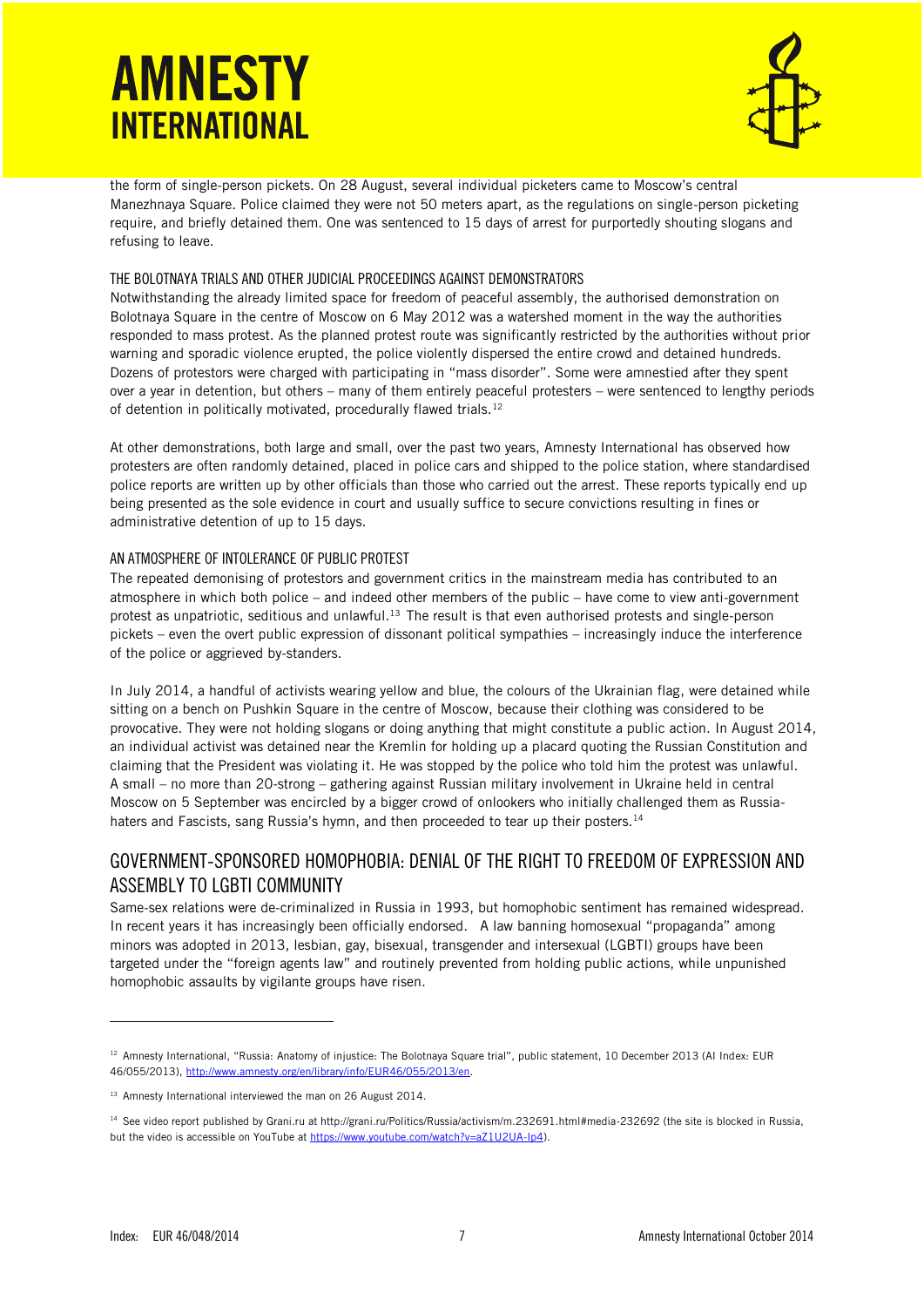

the form of single-person pickets. On 28 August, several individual picketers came to Moscow's central Manezhnaya Square. Police claimed they were not 50 meters apart, as the regulations on single-person picketing require, and briefly detained them. One was sentenced to 15 days of arrest for purportedly shouting slogans and refusing to leave.

### THE BOLOTNAYA TRIALS AND OTHER JUDICIAL PROCEEDINGS AGAINST DEMONSTRATORS

Notwithstanding the already limited space for freedom of peaceful assembly, the authorised demonstration on Bolotnaya Square in the centre of Moscow on 6 May 2012 was a watershed moment in the way the authorities responded to mass protest. As the planned protest route was significantly restricted by the authorities without prior warning and sporadic violence erupted, the police violently dispersed the entire crowd and detained hundreds. Dozens of protestors were charged with participating in "mass disorder". Some were amnestied after they spent over a year in detention, but others – many of them entirely peaceful protesters – were sentenced to lengthy periods of detention in politically motivated, procedurally flawed trials.  $^{12}$ 

At other demonstrations, both large and small, over the past two years, Amnesty International has observed how protesters are often randomly detained, placed in police cars and shipped to the police station, where standardised police reports are written up by other officials than those who carried out the arrest. These reports typically end up being presented as the sole evidence in court and usually suffice to secure convictions resulting in fines or administrative detention of up to 15 days.

### AN ATMOSPHERE OF INTOLERANCE OF PUBLIC PROTEST

The repeated demonising of protestors and government critics in the mainstream media has contributed to an atmosphere in which both police – and indeed other members of the public – have come to view anti-government protest as unpatriotic, seditious and unlawful.<sup>13</sup> The result is that even authorised protests and single-person pickets – even the overt public expression of dissonant political sympathies – increasingly induce the interference of the police or aggrieved by-standers.

In July 2014, a handful of activists wearing yellow and blue, the colours of the Ukrainian flag, were detained while sitting on a bench on Pushkin Square in the centre of Moscow, because their clothing was considered to be provocative. They were not holding slogans or doing anything that might constitute a public action. In August 2014, an individual activist was detained near the Kremlin for holding up a placard quoting the Russian Constitution and claiming that the President was violating it. He was stopped by the police who told him the protest was unlawful. A small – no more than 20-strong – gathering against Russian military involvement in Ukraine held in central Moscow on 5 September was encircled by a bigger crowd of onlookers who initially challenged them as Russiahaters and Fascists, sang Russia's hymn, and then proceeded to tear up their posters.<sup>14</sup>

## GOVERNMENT-SPONSORED HOMOPHOBIA: DENIAL OF THE RIGHT TO FREEDOM OF EXPRESSION AND ASSEMBLY TO LGBTI COMMUNITY

Same-sex relations were de-criminalized in Russia in 1993, but homophobic sentiment has remained widespread. In recent years it has increasingly been officially endorsed. A law banning homosexual "propaganda" among minors was adopted in 2013, lesbian, gay, bisexual, transgender and intersexual (LGBTI) groups have been targeted under the "foreign agents law" and routinely prevented from holding public actions, while unpunished homophobic assaults by vigilante groups have risen.

<sup>&</sup>lt;sup>12</sup> Amnesty International, "Russia: Anatomy of injustice: The Bolotnaya Square trial", public statement, 10 December 2013 (AI Index: EUR 46/055/2013), [http://www.amnesty.org/en/library/info/EUR46/055/2013/en.](http://www.amnesty.org/en/library/info/EUR46/055/2013/en)

<sup>&</sup>lt;sup>13</sup> Amnesty International interviewed the man on 26 August 2014.

<sup>14</sup> See video report published by Grani.ru at http://grani.ru/Politics/Russia/activism/m.232691.html#media-232692 (the site is blocked in Russia, but the video is accessible on YouTube at [https://www.youtube.com/watch?v=aZ1U2UA-Ip4\)](https://www.youtube.com/watch?v=aZ1U2UA-Ip4).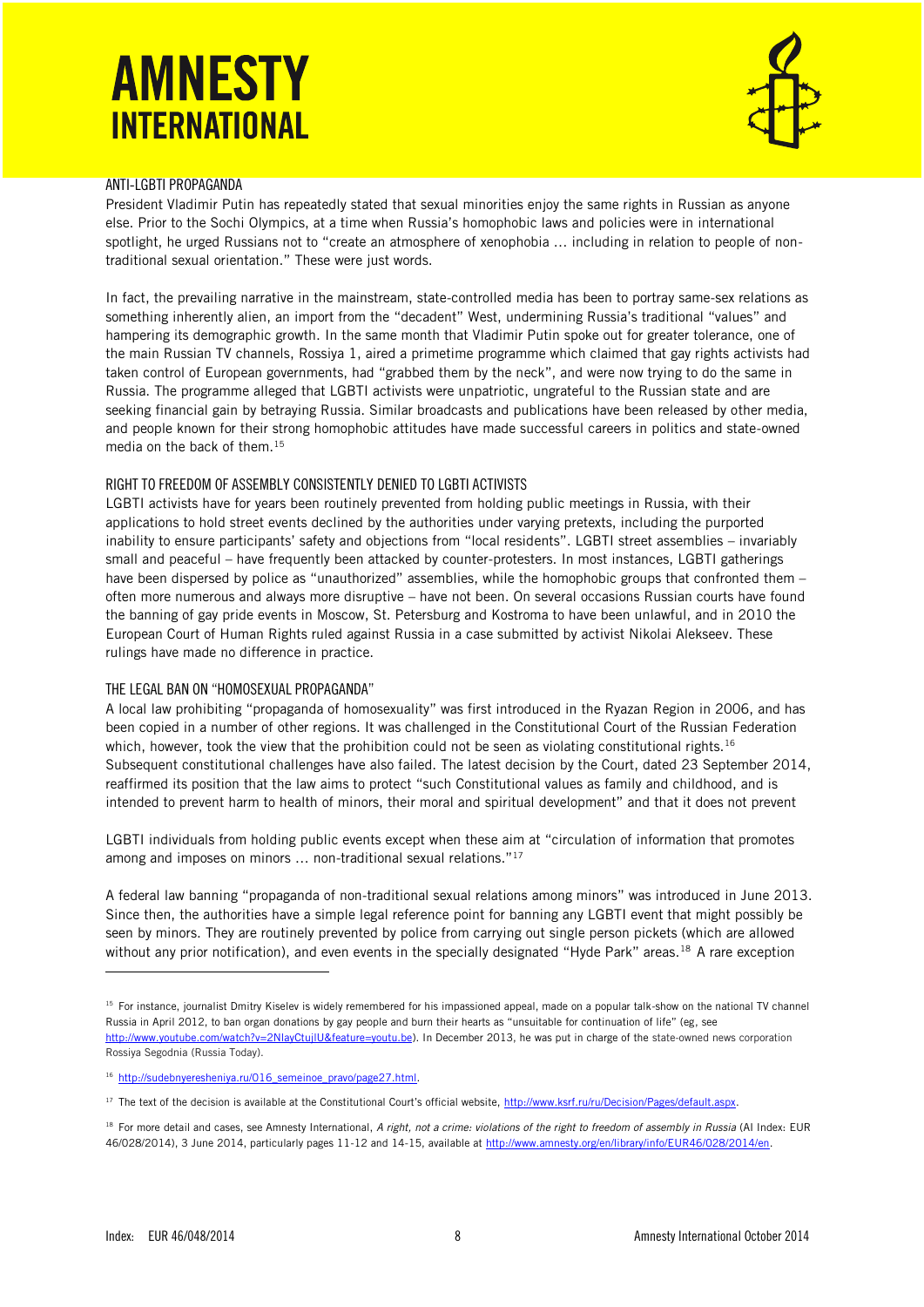

### ANTI-LGBTI PROPAGANDA

President Vladimir Putin has repeatedly stated that sexual minorities enjoy the same rights in Russian as anyone else. Prior to the Sochi Olympics, at a time when Russia's homophobic laws and policies were in international spotlight, he urged Russians not to "create an atmosphere of xenophobia ... including in relation to people of nontraditional sexual orientation." These were just words.

In fact, the prevailing narrative in the mainstream, state-controlled media has been to portray same-sex relations as something inherently alien, an import from the "decadent" West, undermining Russia's traditional "values" and hampering its demographic growth. In the same month that Vladimir Putin spoke out for greater tolerance, one of the main Russian TV channels, Rossiya 1, aired a primetime programme which claimed that gay rights activists had taken control of European governments, had "grabbed them by the neck", and were now trying to do the same in Russia. The programme alleged that LGBTI activists were unpatriotic, ungrateful to the Russian state and are seeking financial gain by betraying Russia. Similar broadcasts and publications have been released by other media, and people known for their strong homophobic attitudes have made successful careers in politics and state-owned media on the back of them.<sup>15</sup>

### RIGHT TO FREEDOM OF ASSEMBLY CONSISTENTLY DENIED TO LGBTI ACTIVISTS

LGBTI activists have for years been routinely prevented from holding public meetings in Russia, with their applications to hold street events declined by the authorities under varying pretexts, including the purported inability to ensure participants' safety and objections from "local residents". LGBTI street assemblies – invariably small and peaceful – have frequently been attacked by counter-protesters. In most instances, LGBTI gatherings have been dispersed by police as "unauthorized" assemblies, while the homophobic groups that confronted them – often more numerous and always more disruptive – have not been. On several occasions Russian courts have found the banning of gay pride events in Moscow, St. Petersburg and Kostroma to have been unlawful, and in 2010 the European Court of Human Rights ruled against Russia in a case submitted by activist Nikolai Alekseev. These rulings have made no difference in practice.

#### THE LEGAL BAN ON "HOMOSEXUAL PROPAGANDA"

A local law prohibiting "propaganda of homosexuality" was first introduced in the Ryazan Region in 2006, and has been copied in a number of other regions. It was challenged in the Constitutional Court of the Russian Federation which, however, took the view that the prohibition could not be seen as violating constitutional rights.<sup>16</sup> Subsequent constitutional challenges have also failed. The latest decision by the Court, dated 23 September 2014, reaffirmed its position that the law aims to protect "such Constitutional values as family and childhood, and is intended to prevent harm to health of minors, their moral and spiritual development" and that it does not prevent

LGBTI individuals from holding public events except when these aim at "circulation of information that promotes among and imposes on minors ... non-traditional sexual relations."<sup>17</sup>

A federal law banning "propaganda of non-traditional sexual relations among minors" was introduced in June 2013. Since then, the authorities have a simple legal reference point for banning any LGBTI event that might possibly be seen by minors. They are routinely prevented by police from carrying out single person pickets (which are allowed without any prior notification), and even events in the specially designated "Hyde Park" areas.<sup>18</sup> A rare exception

<sup>&</sup>lt;sup>15</sup> For instance, journalist Dmitry Kiselev is widely remembered for his impassioned appeal, made on a popular talk-show on the national TV channel Russia in April 2012, to ban organ donations by gay people and burn their hearts as "unsuitable for continuation of life" (eg, see [http://www.youtube.com/watch?v=2NlayCtujlU&feature=youtu.be\)](http://www.youtube.com/watch?v=2NlayCtujlU&feature=youtu.be). In December 2013, he was put in charge of the state-owned news corporation Rossiya Segodnia (Russia Today).

<sup>16</sup> [http://sudebnyeresheniya.ru/016\\_semeinoe\\_pravo/page27.html.](http://sudebnyeresheniya.ru/016_semeinoe_pravo/page27.html) 

<sup>&</sup>lt;sup>17</sup> The text of the decision is available at the Constitutional Court's official website, [http://www.ksrf.ru/ru/Decision/Pages/default.aspx.](http://www.ksrf.ru/ru/Decision/Pages/default.aspx)

<sup>&</sup>lt;sup>18</sup> For more detail and cases, see Amnesty International, A right, not a crime: violations of the right to freedom of assembly in Russia (AI Index: EUR 46/028/2014), 3 June 2014, particularly pages 11-12 and 14-15, available at [http://www.amnesty.org/en/library/info/EUR46/028/2014/en.](http://www.amnesty.org/en/library/info/EUR46/028/2014/en)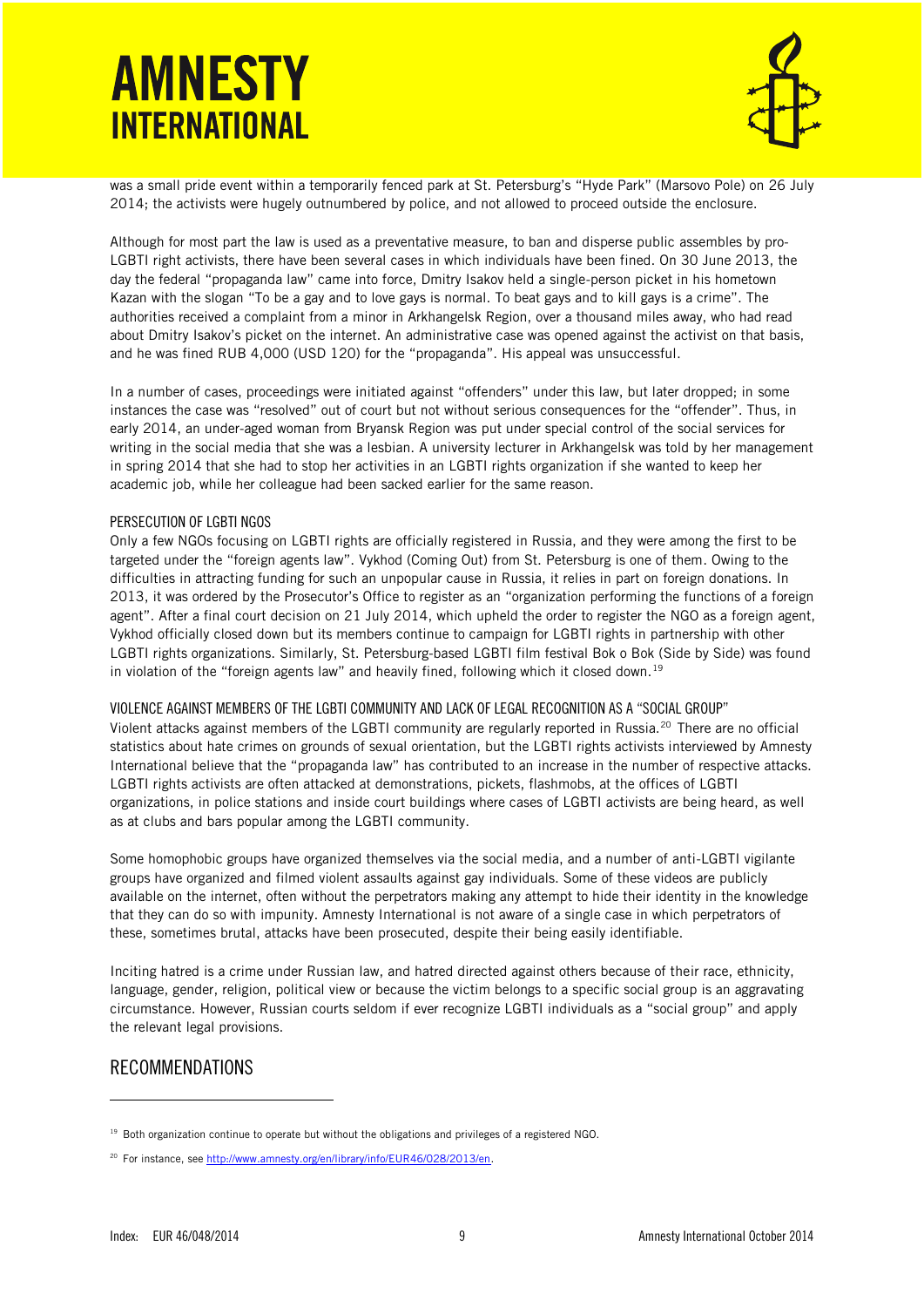

was a small pride event within a temporarily fenced park at St. Petersburg's "Hyde Park" (Marsovo Pole) on 26 July 2014; the activists were hugely outnumbered by police, and not allowed to proceed outside the enclosure.

Although for most part the law is used as a preventative measure, to ban and disperse public assembles by pro-LGBTI right activists, there have been several cases in which individuals have been fined. On 30 June 2013, the day the federal "propaganda law" came into force, Dmitry Isakov held a single-person picket in his hometown Kazan with the slogan "To be a gay and to love gays is normal. To beat gays and to kill gays is a crime". The authorities received a complaint from a minor in Arkhangelsk Region, over a thousand miles away, who had read about Dmitry Isakov's picket on the internet. An administrative case was opened against the activist on that basis, and he was fined RUB 4,000 (USD 120) for the "propaganda". His appeal was unsuccessful.

In a number of cases, proceedings were initiated against "offenders" under this law, but later dropped; in some instances the case was "resolved" out of court but not without serious consequences for the "offender". Thus, in early 2014, an under-aged woman from Bryansk Region was put under special control of the social services for writing in the social media that she was a lesbian. A university lecturer in Arkhangelsk was told by her management in spring 2014 that she had to stop her activities in an LGBTI rights organization if she wanted to keep her academic job, while her colleague had been sacked earlier for the same reason.

#### PERSECUTION OF LGBTI NGOS

Only a few NGOs focusing on LGBTI rights are officially registered in Russia, and they were among the first to be targeted under the "foreign agents law". Vykhod (Coming Out) from St. Petersburg is one of them. Owing to the difficulties in attracting funding for such an unpopular cause in Russia, it relies in part on foreign donations. In 2013, it was ordered by the Prosecutor's Office to register as an "organization performing the functions of a foreign agent". After a final court decision on 21 July 2014, which upheld the order to register the NGO as a foreign agent, Vykhod officially closed down but its members continue to campaign for LGBTI rights in partnership with other LGBTI rights organizations. Similarly, St. Petersburg-based LGBTI film festival Bok o Bok (Side by Side) was found in violation of the "foreign agents law" and heavily fined, following which it closed down.<sup>19</sup>

#### VIOLENCE AGAINST MEMBERS OF THE LGBTI COMMUNITY AND LACK OF LEGAL RECOGNITION AS A "SOCIAL GROUP"

Violent attacks against members of the LGBTI community are regularly reported in Russia.<sup>20</sup> There are no official statistics about hate crimes on grounds of sexual orientation, but the LGBTI rights activists interviewed by Amnesty International believe that the "propaganda law" has contributed to an increase in the number of respective attacks. LGBTI rights activists are often attacked at demonstrations, pickets, flashmobs, at the offices of LGBTI organizations, in police stations and inside court buildings where cases of LGBTI activists are being heard, as well as at clubs and bars popular among the LGBTI community.

Some homophobic groups have organized themselves via the social media, and a number of anti-LGBTI vigilante groups have organized and filmed violent assaults against gay individuals. Some of these videos are publicly available on the internet, often without the perpetrators making any attempt to hide their identity in the knowledge that they can do so with impunity. Amnesty International is not aware of a single case in which perpetrators of these, sometimes brutal, attacks have been prosecuted, despite their being easily identifiable.

Inciting hatred is a crime under Russian law, and hatred directed against others because of their race, ethnicity, language, gender, religion, political view or because the victim belongs to a specific social group is an aggravating circumstance. However, Russian courts seldom if ever recognize LGBTI individuals as a "social group" and apply the relevant legal provisions.

### RECOMMENDATIONS

j

<sup>&</sup>lt;sup>19</sup> Both organization continue to operate but without the obligations and privileges of a registered NGO.

<sup>&</sup>lt;sup>20</sup> For instance, see http://www.amnesty.org/en/library/info/EUR46/028/2013/en.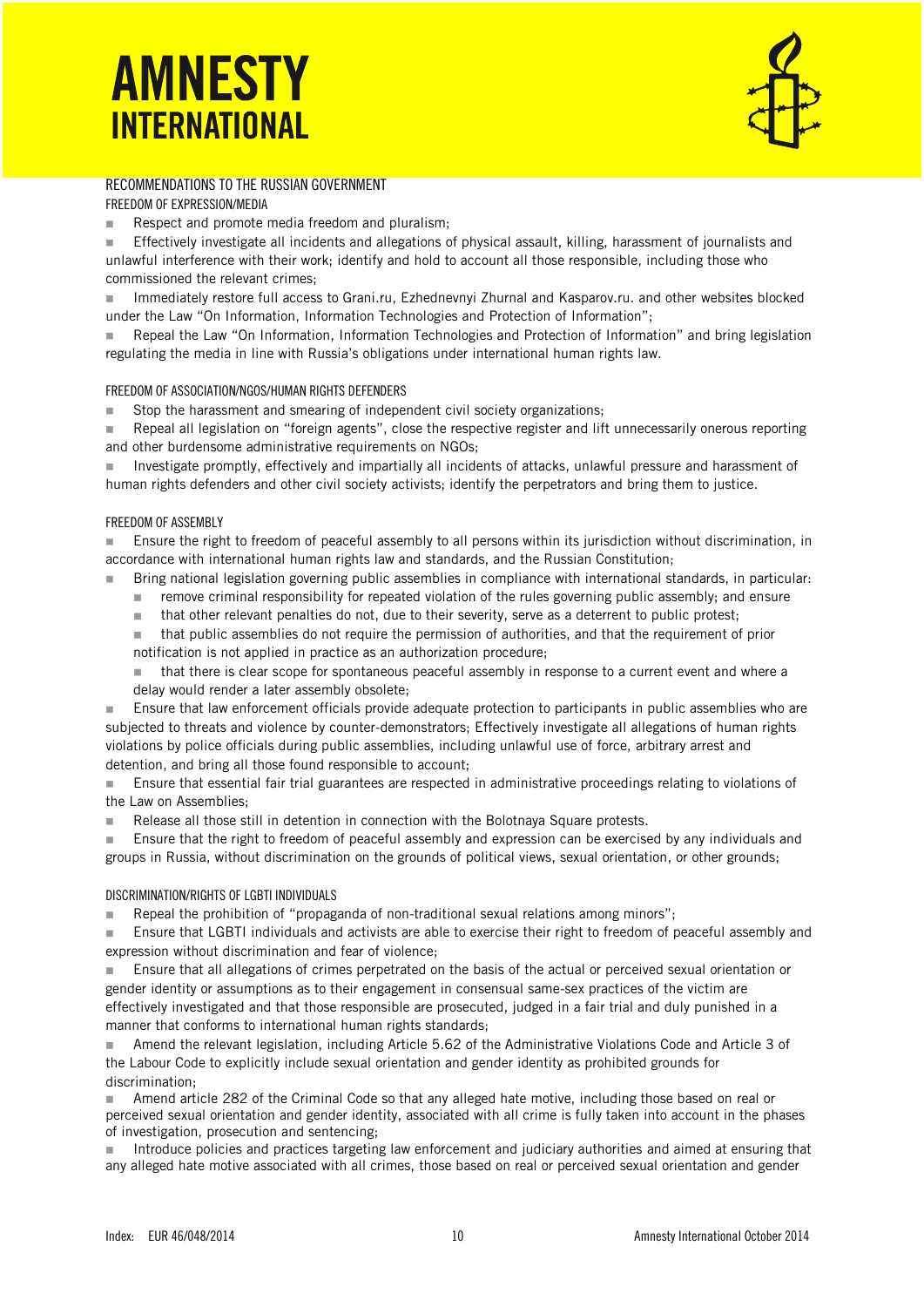### RECOMMENDATIONS TO THE RUSSIAN GOVERNMENT

FREEDOM OF EXPRESSION/MEDIA

Respect and promote media freedom and pluralism;

**Effectively investigate all incidents and allegations of physical assault, killing, harassment of journalists and** unlawful interference with their work; identify and hold to account all those responsible, including those who commissioned the relevant crimes;

 Immediately restore full access to Grani.ru, Ezhednevnyi Zhurnal and Kasparov.ru. and other websites blocked under the Law "On Information, Information Technologies and Protection of Information";

 Repeal the Law "On Information, Information Technologies and Protection of Information" and bring legislation regulating the media in line with Russia's obligations under international human rights law.

#### FREEDOM OF ASSOCIATION/NGOS/HUMAN RIGHTS DEFENDERS

■ Stop the harassment and smearing of independent civil society organizations;

Repeal all legislation on "foreign agents", close the respective register and lift unnecessarily onerous reporting and other burdensome administrative requirements on NGOs;

 Investigate promptly, effectively and impartially all incidents of attacks, unlawful pressure and harassment of human rights defenders and other civil society activists; identify the perpetrators and bring them to justice.

#### FREEDOM OF ASSEMBLY

**Ensure the right to freedom of peaceful assembly to all persons within its jurisdiction without discrimination, in** accordance with international human rights law and standards, and the Russian Constitution;

Bring national legislation governing public assemblies in compliance with international standards, in particular:

- **Fuller** remove criminal responsibility for repeated violation of the rules governing public assembly; and ensure
- that other relevant penalties do not, due to their severity, serve as a deterrent to public protest;
- that public assemblies do not require the permission of authorities, and that the requirement of prior notification is not applied in practice as an authorization procedure;

 that there is clear scope for spontaneous peaceful assembly in response to a current event and where a delay would render a later assembly obsolete;

**Ensure that law enforcement officials provide adequate protection to participants in public assemblies who are** subjected to threats and violence by counter-demonstrators; Effectively investigate all allegations of human rights violations by police officials during public assemblies, including unlawful use of force, arbitrary arrest and detention, and bring all those found responsible to account;

 Ensure that essential fair trial guarantees are respected in administrative proceedings relating to violations of the Law on Assemblies;

Release all those still in detention in connection with the Bolotnaya Square protests.

**Ensure that the right to freedom of peaceful assembly and expression can be exercised by any individuals and** groups in Russia, without discrimination on the grounds of political views, sexual orientation, or other grounds;

#### DISCRIMINATION/RIGHTS OF LGBTI INDIVIDUALS

Repeal the prohibition of "propaganda of non-traditional sexual relations among minors";

 Ensure that LGBTI individuals and activists are able to exercise their right to freedom of peaceful assembly and expression without discrimination and fear of violence;

**Ensure that all allegations of crimes perpetrated on the basis of the actual or perceived sexual orientation or** gender identity or assumptions as to their engagement in consensual same-sex practices of the victim are effectively investigated and that those responsible are prosecuted, judged in a fair trial and duly punished in a manner that conforms to international human rights standards;

 Amend the relevant legislation, including Article 5.62 of the Administrative Violations Code and Article 3 of the Labour Code to explicitly include sexual orientation and gender identity as prohibited grounds for discrimination;

 Amend article 282 of the Criminal Code so that any alleged hate motive, including those based on real or perceived sexual orientation and gender identity, associated with all crime is fully taken into account in the phases of investigation, prosecution and sentencing;

 Introduce policies and practices targeting law enforcement and judiciary authorities and aimed at ensuring that any alleged hate motive associated with all crimes, those based on real or perceived sexual orientation and gender